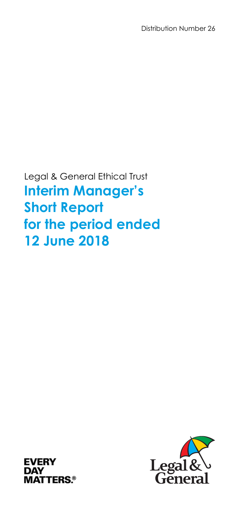Legal & General Ethical Trust **Interim Manager's Short Report for the period ended 12 June 2018** 



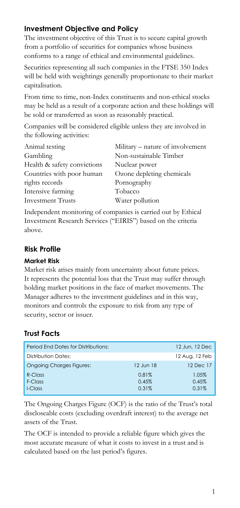# **Investment Objective and Policy**

The investment objective of this Trust is to secure capital growth from a portfolio of securities for companies whose business conforms to a range of ethical and environmental guidelines.

Securities representing all such companies in the FTSE 350 Index will be held with weightings generally proportionate to their market capitalisation.

From time to time, non-Index constituents and non-ethical stocks may be held as a result of a corporate action and these holdings will be sold or transferred as soon as reasonably practical.

Companies will be considered eligible unless they are involved in the following activities:

| Animal testing              | Military – nature of involvement |
|-----------------------------|----------------------------------|
| Gambling                    | Non-sustainable Timber           |
| Health & safety convictions | Nuclear power                    |
| Countries with poor human   | Ozone depleting chemicals        |
| rights records              | Pornography                      |
| Intensive farming           | Tobacco                          |
| <b>Investment Trusts</b>    | Water pollution                  |
|                             |                                  |

Independent monitoring of companies is carried out by Ethical Investment Research Services ("EIRIS") based on the criteria above.

# **Risk Profile**

#### **Market Risk**

Market risk arises mainly from uncertainty about future prices. It represents the potential loss that the Trust may suffer through holding market positions in the face of market movements. The Manager adheres to the investment guidelines and in this way, monitors and controls the exposure to risk from any type of security, sector or issuer.

# **Trust Facts**

| <b>Period Fnd Dates for Distributions:</b> |           | 12 Jun. 12 Dec |
|--------------------------------------------|-----------|----------------|
| Distribution Dates:                        |           | 12 Aug, 12 Feb |
| <b>Ongoing Charges Figures:</b>            | 12 Jun 18 | 12 Dec 17      |
| $R$ -Class                                 | 0.81%     | 1.05%          |
| F-Class                                    | 0.45%     | 0.45%          |
| I-Class                                    | 0.31%     | 0.31%          |

The Ongoing Charges Figure (OCF) is the ratio of the Trust's total discloseable costs (excluding overdraft interest) to the average net assets of the Trust.

The OCF is intended to provide a reliable figure which gives the most accurate measure of what it costs to invest in a trust and is calculated based on the last period's figures.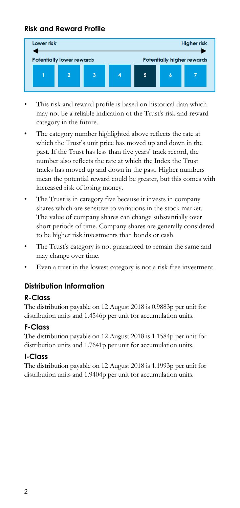# **Risk and Reward Profile**



- This risk and reward profile is based on historical data which may not be a reliable indication of the Trust's risk and reward category in the future.
- The category number highlighted above reflects the rate at which the Trust's unit price has moved up and down in the past. If the Trust has less than five years' track record, the number also reflects the rate at which the Index the Trust tracks has moved up and down in the past. Higher numbers mean the potential reward could be greater, but this comes with increased risk of losing money.
- The Trust is in category five because it invests in company shares which are sensitive to variations in the stock market. The value of company shares can change substantially over short periods of time. Company shares are generally considered to be higher risk investments than bonds or cash.
- The Trust's category is not guaranteed to remain the same and may change over time.
- Even a trust in the lowest category is not a risk free investment.

# **Distribution Information**

#### **R-Class**

The distribution payable on 12 August 2018 is 0.9883p per unit for distribution units and 1.4546p per unit for accumulation units.

#### **F-Class**

The distribution payable on 12 August 2018 is 1.1584p per unit for distribution units and 1.7641p per unit for accumulation units.

#### **I-Class**

The distribution payable on 12 August 2018 is 1.1993p per unit for distribution units and 1.9404p per unit for accumulation units.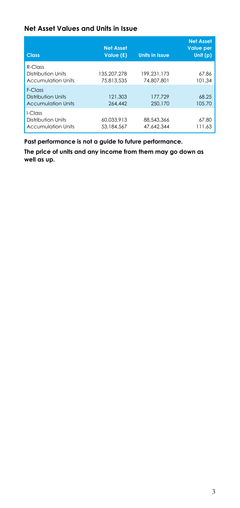#### **Net Asset Values and Units in Issue**

| <b>Class</b>                                                  | <b>Net Asset</b><br>Value (£) | <b>Units in Issue</b>     | <b>Net Asset</b><br><b>Value per</b><br>Unit (p) |
|---------------------------------------------------------------|-------------------------------|---------------------------|--------------------------------------------------|
| $R$ -Class<br>Distribution Units<br><b>Accumulation Units</b> | 135.207.278<br>75.813.535     | 199.231.173<br>74,807,801 | 67.86<br>101.34                                  |
| F-Class<br>Distribution Units<br><b>Accumulation Units</b>    | 121.303<br>264,442            | 177.729<br>250,170        | 68.25<br>105.70                                  |
| I-Class<br>Distribution Units<br>Accumulation Units           | 60.033.913<br>53.184.567      | 88.543.366<br>47.642.344  | 67.80<br>111.63                                  |

**Past performance is not a guide to future performance.** 

**The price of units and any income from them may go down as well as up.**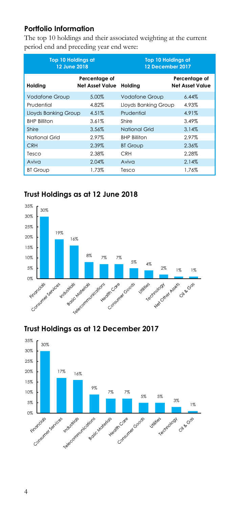### **Portfolio Information**

The top 10 holdings and their associated weighting at the current period end and preceding year end were:

| <b>Top 10 Holdings at</b><br>12 June 2018 |                                  | <b>Top 10 Holdings at</b><br>12 December 2017 |                                         |
|-------------------------------------------|----------------------------------|-----------------------------------------------|-----------------------------------------|
| Holding                                   | Percentage of<br>Net Asset Value | Holding                                       | Percentage of<br><b>Net Asset Value</b> |
| <b>Vodafone Group</b>                     | 5.00%                            | <b>Vodafone Group</b>                         | 6.44%                                   |
| Prudential                                | 4.82%                            | Lloyds Banking Group                          | 4.93%                                   |
| Lloyds Banking Group                      | 4.51%                            | Prudential                                    | 4.91%                                   |
| <b>BHP Billiton</b>                       | 3.61%                            | Shire                                         | 3.49%                                   |
| Shire                                     | 3.56%                            | National Grid                                 | 3.14%                                   |
| National Grid                             | 2.97%                            | <b>BHP Billiton</b>                           | 2.97%                                   |
| <b>CRH</b>                                | 2.39%                            | <b>BT Group</b>                               | 2.36%                                   |
| Tesco                                     | 2.38%                            | <b>CRH</b>                                    | 2.28%                                   |
| Aviva                                     | 2.04%                            | Aviva                                         | 2.14%                                   |
| <b>BT Group</b>                           | 1.73%                            | Tesco                                         | 1.76%                                   |

# **Trust Holdings as at 12 June 2018**



### **Trust Holdings as at 12 December 2017**

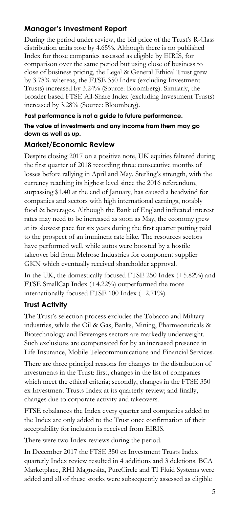# **Manager's Investment Report**

During the period under review, the bid price of the Trust's R-Class distribution units rose by 4.65%. Although there is no published Index for those companies assessed as eligible by EIRIS, for comparison over the same period but using close of business to close of business pricing, the Legal & General Ethical Trust grew by 3.78% whereas, the FTSE 350 Index (excluding Investment Trusts) increased by 3.24% (Source: Bloomberg). Similarly, the broader based FTSE All-Share Index (excluding Investment Trusts) increased by 3.28% (Source: Bloomberg).

#### **Past performance is not a guide to future performance.**

#### **The value of investments and any income from them may go down as well as up.**

#### **Market/Economic Review**

Despite closing 2017 on a positive note, UK equities faltered during the first quarter of 2018 recording three consecutive months of losses before rallying in April and May. Sterling's strength, with the currency reaching its highest level since the 2016 referendum, surpassing \$1.40 at the end of January, has caused a headwind for companies and sectors with high international earnings, notably food & beverages. Although the Bank of England indicated interest rates may need to be increased as soon as May, the economy grew at its slowest pace for six years during the first quarter putting paid to the prospect of an imminent rate hike. The resources sectors have performed well, while autos were boosted by a hostile takeover bid from Melrose Industries for component supplier GKN which eventually received shareholder approval.

In the UK, the domestically focused FTSE 250 Index (+5.82%) and FTSE SmallCap Index (+4.22%) outperformed the more internationally focused FTSE 100 Index (+2.71%).

#### **Trust Activity**

The Trust's selection process excludes the Tobacco and Military industries, while the Oil & Gas, Banks, Mining, Pharmaceuticals & Biotechnology and Beverages sectors are markedly underweight. Such exclusions are compensated for by an increased presence in Life Insurance, Mobile Telecommunications and Financial Services.

There are three principal reasons for changes to the distribution of investments in the Trust: first, changes in the list of companies which meet the ethical criteria; secondly, changes in the FTSE 350 ex Investment Trusts Index at its quarterly review; and finally, changes due to corporate activity and takeovers.

FTSE rebalances the Index every quarter and companies added to the Index are only added to the Trust once confirmation of their acceptability for inclusion is received from EIRIS.

There were two Index reviews during the period.

In December 2017 the FTSE 350 ex Investment Trusts Index quarterly Index review resulted in 4 additions and 3 deletions. BCA Marketplace, RHI Magnesita, PureCircle and TI Fluid Systems were added and all of these stocks were subsequently assessed as eligible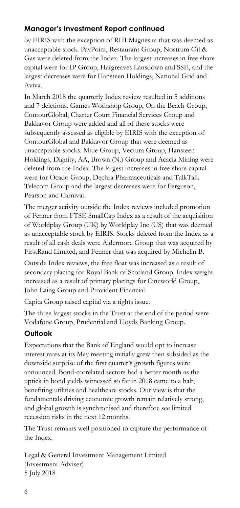# **Manager's Investment Report continued**

by EIRIS with the exception of RHI Magnesita that was deemed as unacceptable stock. PayPoint, Restaurant Group, Nostrum Oil & Gas were deleted from the Index. The largest increases in free share capital were for IP Group, Hargreaves Lansdown and SSE, and the largest decreases were for Hansteen Holdings, National Grid and Aviva.

In March 2018 the quarterly Index review resulted in 5 additions and 7 deletions. Games Workshop Group, On the Beach Group, ContourGlobal, Charter Court Financial Services Group and Bakkavor Group were added and all of these stocks were subsequently assessed as eligible by EIRIS with the exception of ContourGlobal and Bakkavor Group that were deemed as unacceptable stocks. Mitie Group, Vectura Group, Hansteen Holdings, Dignity, AA, Brown (N.) Group and Acacia Mining were deleted from the Index. The largest increases in free share capital were for Ocado Group, Dechra Pharmaceuticals and TalkTalk Telecom Group and the largest decreases were for Ferguson, Pearson and Carnival.

The merger activity outside the Index reviews included promotion of Fenner from FTSE SmallCap Index as a result of the acquisition of Worldplay Group (UK) by Worldplay Inc (US) that was deemed as unacceptable stock by EIRIS. Stocks deleted from the Index as a result of all cash deals were Aldermore Group that was acquired by FirstRand Limited, and Fenner that was acquired by Michelin B.

Outside Index reviews, the free float was increased as a result of secondary placing for Royal Bank of Scotland Group. Index weight increased as a result of primary placings for Cineworld Group, John Laing Group and Provident Financial.

Capita Group raised capital via a rights issue.

The three largest stocks in the Trust at the end of the period were Vodafone Group, Prudential and Lloyds Banking Group.

# **Outlook**

Expectations that the Bank of England would opt to increase interest rates at its May meeting initially grew then subsided as the downside surprise of the first quarter's growth figures were announced. Bond-correlated sectors had a better month as the uptick in bond yields witnessed so far in 2018 came to a halt, benefiting utilities and healthcare stocks. Our view is that the fundamentals driving economic growth remain relatively strong, and global growth is synchronised and therefore see limited recession risks in the next 12 months.

The Trust remains well positioned to capture the performance of the Index.

Legal & General Investment Management Limited (Investment Adviser) 5 July 2018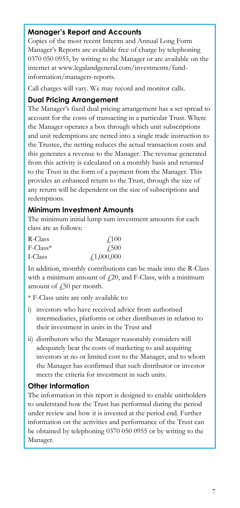### **Manager's Report and Accounts**

Copies of the most recent Interim and Annual Long Form Manager's Reports are available free of charge by telephoning 0370 050 0955, by writing to the Manager or are available on the internet at www.legalandgeneral.com/investments/fundinformation/managers-reports.

Call charges will vary. We may record and monitor calls.

### **Dual Pricing Arrangement**

The Manager's fixed dual pricing arrangement has a set spread to account for the costs of transacting in a particular Trust. Where the Manager operates a box through which unit subscriptions and unit redemptions are netted into a single trade instruction to the Trustee, the netting reduces the actual transaction costs and this generates a revenue to the Manager. The revenue generated from this activity is calculated on a monthly basis and returned to the Trust in the form of a payment from the Manager. This provides an enhanced return to the Trust, through the size of any return will be dependent on the size of subscriptions and redemptions.

#### **Minimum Investment Amounts**

The minimum initial lump sum investment amounts for each class are as follows:

| R-Class                 | 4.100            |
|-------------------------|------------------|
| $F$ -Class <sup>*</sup> | $\sqrt{500}$     |
| I-Class                 | $\neq 1,000,000$ |

In addition, monthly contributions can be made into the R-Class with a minimum amount of  $f(20)$ , and F-Class, with a minimum amount of  $\sqrt{250}$  per month.

\* F-Class units are only available to:

- i) investors who have received advice from authorised intermediaries, platforms or other distributors in relation to their investment in units in the Trust and
- ii) distributors who the Manager reasonably considers will adequately bear the costs of marketing to and acquiring investors at no or limited cost to the Manager, and to whom the Manager has confirmed that such distributor or investor meets the criteria for investment in such units.

#### **Other Information**

The information in this report is designed to enable unitholders to understand how the Trust has performed during the period under review and how it is invested at the period end. Further information on the activities and performance of the Trust can be obtained by telephoning 0370 050 0955 or by writing to the Manager.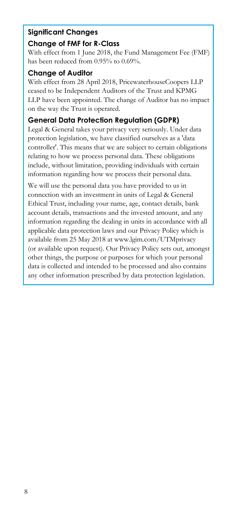# **Significant Changes Change of FMF for R-Class**

With effect from 1 June 2018, the Fund Management Fee (FMF) has been reduced from 0.95% to 0.69%.

### **Change of Auditor**

With effect from 28 April 2018, PricewaterhouseCoopers LLP ceased to be Independent Auditors of the Trust and KPMG LLP have been appointed. The change of Auditor has no impact on the way the Trust is operated.

# **General Data Protection Regulation (GDPR)**

Legal & General takes your privacy very seriously. Under data protection legislation, we have classified ourselves as a 'data controller'. This means that we are subject to certain obligations relating to how we process personal data. These obligations include, without limitation, providing individuals with certain information regarding how we process their personal data.

We will use the personal data you have provided to us in connection with an investment in units of Legal & General Ethical Trust, including your name, age, contact details, bank account details, transactions and the invested amount, and any information regarding the dealing in units in accordance with all applicable data protection laws and our Privacy Policy which is available from 25 May 2018 at www.lgim.com/UTMprivacy (or available upon request). Our Privacy Policy sets out, amongst other things, the purpose or purposes for which your personal data is collected and intended to be processed and also contains any other information prescribed by data protection legislation.

ł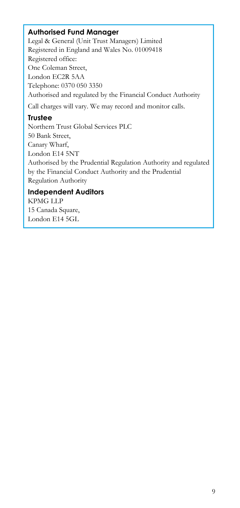### **Authorised Fund Manager**

Legal & General (Unit Trust Managers) Limited Registered in England and Wales No. 01009418 Registered office: One Coleman Street, London EC2R 5AA Telephone: 0370 050 3350 Authorised and regulated by the Financial Conduct Authority

Call charges will vary. We may record and monitor calls.

### **Trustee**

Northern Trust Global Services PLC 50 Bank Street, Canary Wharf, London E14 5NT Authorised by the Prudential Regulation Authority and regulated by the Financial Conduct Authority and the Prudential Regulation Authority

#### **Independent Auditors**

KPMG LLP 15 Canada Square, London E14 5GL